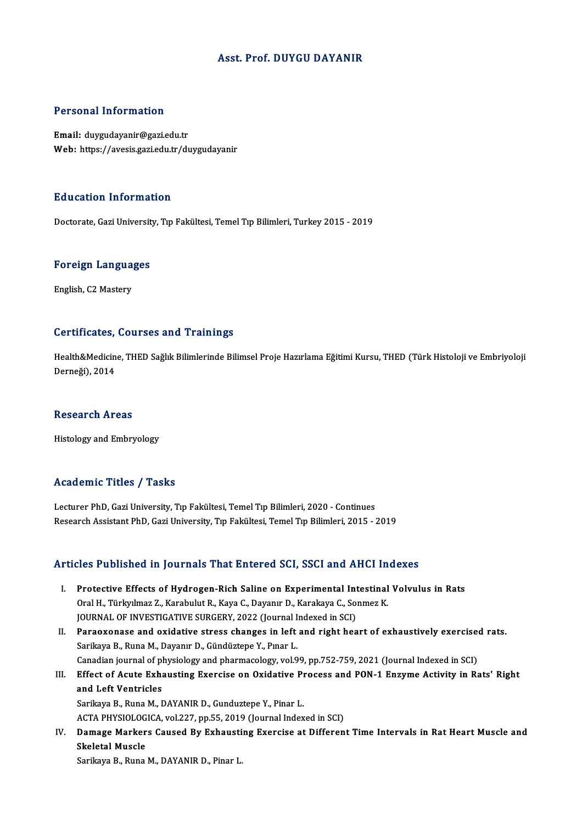### Asst. Prof. DUYGU DAYANIR

#### Personal Information

Email: duygudayanir@gazi.edu.tr Web: https://avesis.gazi.edu.tr/duygudayanir

#### Education Information

Doctorate, Gazi University, Tıp Fakültesi, Temel Tıp Bilimleri, Turkey 2015 - 2019

## **Doctorate, Gazi Universit**<br>Foreign Languages F<mark>oreign Langua</mark><br>English, C2 Mastery

# English, C2 Mastery<br>Certificates, Courses and Trainings

Certificates, Courses and Trainings<br>Health&Medicine, THED Sağlık Bilimlerinde Bilimsel Proje Hazırlama Eğitimi Kursu, THED (Türk Histoloji ve Embriyoloji der arreaces;<br>Health&Medicin<br>Derneği), 2014 Derneği), 2014<br>Research Areas

Histology and Embryology

#### Academic Titles / Tasks

Lecturer PhD, Gazi University, Tıp Fakültesi, Temel Tıp Bilimleri, 2020 - Continues Research Assistant PhD, Gazi University, Tıp Fakültesi, Temel Tıp Bilimleri, 2015 - 2019

#### Articles Published in Journals That Entered SCI, SSCI and AHCI Indexes

- rticles Published in Journals That Entered SCI, SSCI and AHCI Indexes<br>I. Protective Effects of Hydrogen-Rich Saline on Experimental Intestinal Volvulus in Rats<br>Oral H. Türkulmaz 7. Karabulut B. Kaya G. Dayanır D. Karakaya Protective Effects of Hydrogen-Rich Saline on Experimental Intestinal<br>Oral H., Türkyılmaz Z., Karabulut R., Kaya C., Dayanır D., Karakaya C., Sonmez K.<br>JOUPMAL OF INVESTIC ATIVE SUPCERY 2022 (Journal Indoved in SCI) Protective Effects of Hydrogen-Rich Saline on Experimental Indo<br>Oral H., Türkyılmaz Z., Karabulut R., Kaya C., Dayanır D., Karakaya C., So<br>JOURNAL OF INVESTIGATIVE SURGERY, 2022 (Journal Indexed in SCI)<br>Paraexeness and exi JOURNAL OF INVESTIGATIVE SURGERY, 2022 (Journal Indexed in SCI)
- Oral H., Türkyılmaz Z., Karabulut R., Kaya C., Dayanır D., Karakaya C., Sonmez K.<br>JOURNAL OF INVESTIGATIVE SURGERY, 2022 (Journal Indexed in SCI)<br>II. Paraoxonase and oxidative stress changes in left and right heart of exha Paraoxonase and oxidative stress changes in left and right heart of exhaustively exercise<br>Sarikaya B., Runa M., Dayanır D., Gündüztepe Y., Pınar L.<br>Canadian journal of physiology and pharmacology, vol.99, pp.752-759, 2021
- III. Effect of Acute Exhausting Exercise on Oxidative Process and PON-1 Enzyme Activity in Rats' Right and Left Ventricles Canadian journal of pl<br>Effect of Acute Exhand Left Ventricles<br>Sarikaya B. Buna M. L Sarikaya B., Runa M., DAYANIR D., Gunduztepe Y., Pinar L.

ACTA PHYSIOLOGICA, vol.227, pp.55, 2019 (Journal Indexed in SCI)

Sarikaya B., Runa M., DAYANIR D., Gunduztepe Y., Pinar L.<br>ACTA PHYSIOLOGICA, vol.227, pp.55, 2019 (Journal Indexed in SCI)<br>IV. Damage Markers Caused By Exhausting Exercise at Different Time Intervals in Rat Heart Muscl ACTA PHYSIOLOG<br>Damage Marker<br>Skeletal Muscle<br>Sarikaya P. Buna Damage Markers Caused By Exhausti<br>Skeletal Muscle<br>Sarikaya B., Runa M., DAYANIR D., Pinar L.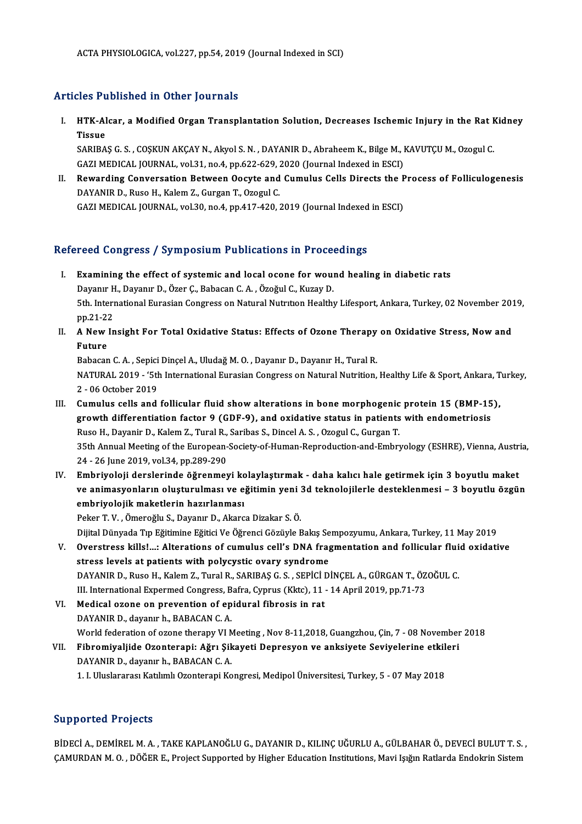## Articles Published in Other Journals

rticles Published in Other Journals<br>I. HTK-Alcar, a Modified Organ Transplantation Solution, Decreases Ischemic Injury in the Rat Kidney<br> Tissue HTK-Al<br>HTK-Al<br>Tissue<br>SARIRA HTK-Alcar, a Modified Organ Transplantation Solution, Decreases Ischemic Injury in the Rat F<br>Tissue<br>SARIBAŞ G. S. , COŞKUN AKÇAY N., Akyol S. N. , DAYANIR D., Abraheem K., Bilge M., KAVUTÇU M., Ozogul C.<br>CAZI MEDICAL JOUPN Tissue<br>SARIBAŞ G. S. , COŞKUN AKÇAY N., Akyol S. N. , DAYANIR D., Abraheem K., Bilge M., KAVUTÇU M., Ozogul C.

GAZI MEDICAL JOURNAL, vol.31, no.4, pp.622-629, 2020 (Journal Indexed in ESCI)

II. Rewarding Conversation Between Oocyte and Cumulus Cells Directs the Process of Folliculogenesis<br>DAYANIR D., Ruso H., Kalem Z., Gurgan T., Ozogul C. GAZI MEDICAL JOURNAL, vol.30, no.4, pp.417-420, 2019 (Journal Indexed in ESCI)

### Refereed Congress / Symposium Publications in Proceedings

- efereed Congress / Symposium Publications in Proceedings<br>I. Examining the effect of systemic and local ocone for wound healing in diabetic rats<br>Davanu H. Davanu D. Ösan C. Babasan C. A. Ösağul C. Kusay D. Examining the effect of systemic and local ocone for would<br>Dayanır H., Dayanır D., Özer Ç., Babacan C.A., Özoğul C., Kuzay D.<br>Eth International Eurosian Congress on Natural Nutrition Health Examining the effect of systemic and local ocone for wound healing in diabetic rats<br>Dayanır H., Dayanır D., Özer Ç., Babacan C. A. , Özoğul C., Kuzay D.<br>5th. International Eurasian Congress on Natural Nutrıtıon Healthy Lif Dayanır H<br>5th. Interi<br>pp.21-22<br>A Now In 5th. International Eurasian Congress on Natural Nutrition Healthy Lifesport, Ankara, Turkey, 02 November 201<br>pp.21-22<br>II. A New Insight For Total Oxidative Status: Effects of Ozone Therapy on Oxidative Stress, Now and
- pp.21-22<br>II. A New Insight For Total Oxidative Status: Effects of Ozone Therapy on Oxidative Stress, Now and<br>Future

Babacan C.A., Sepici Dinçel A., Uludağ M.O., Dayanır D., Dayanır H., Tural R. NATURAL 2019 - '5th International Eurasian Congress on Natural Nutrition, Healthy Life & Sport, Ankara, Turkey, 2 - 06 October 2019

- III. Cumulus cells and follicular fluid show alterations in bone morphogenic protein 15 (BMP-15), 2 - 06 October 2019<br>Cumulus cells and follicular fluid show alterations in bone morphogenic protein 15 (BMP-15<br>growth differentiation factor 9 (GDF-9), and oxidative status in patients with endometriosis<br>Ruse H. Davanin D. Cumulus cells and follicular fluid show alterations in bone morphogenic<br>growth differentiation factor 9 (GDF-9), and oxidative status in patients<br>Ruso H., Dayanir D., Kalem Z., Tural R., Saribas S., Dincel A.S., Ozogul C., growth differentiation factor 9 (GDF-9), and oxidative status in patients with endometriosis<br>Ruso H., Dayanir D., Kalem Z., Tural R., Saribas S., Dincel A. S. , Ozogul C., Gurgan T.<br>35th Annual Meeting of the European-Soci Ruso H., Dayanir D., Kalem Z., Tural R.,<br>35th Annual Meeting of the European-<br>24 - 26 June 2019, vol.34, pp.289-290<br>Embrivoloji derslavinde öğrenmey 35th Annual Meeting of the European-Society-of-Human-Reproduction-and-Embryology (ESHRE), Vienna, Austrice 24<br>24 - 26 June 2019, vol.34, pp.289-290<br>IV. Embriyoloji derslerinde öğrenmeyi kolaylaştırmak - daha kalıcı hale ge
- 24 26 June 2019, vol.34, pp.289-290<br>Embriyoloji derslerinde öğrenmeyi kolaylaştırmak daha kalıcı hale getirmek için 3 boyutlu maket<br>ve animasyonların oluşturulması ve eğitimin yeni 3d teknolojilerle desteklenmesi 3 b Embriyoloji derslerinde öğrenmeyi ko<br>ve animasyonların oluşturulması ve e<br>embriyolojik maketlerin hazırlanması<br>Pekar T.V. Ömeneğlu S. Dayanır D. Akare ve animasyonların oluşturulması ve eğitimin yeni 3d teknolojilerle desteklenmesi – 3 boyutlu özgün<br>embriyolojik maketlerin hazırlanması<br>Peker T.V., Ömeroğlu S., Dayanır D., Akarca Dizakar S.Ö.

DijitalDünyadaTıpEğitimineEğiticiVeÖğrenciGözüyleBakış Sempozyumu,Ankara,Turkey,11May2019

Peker T. V. , Ömeroğlu S., Dayanır D., Akarca Dizakar S. Ö.<br>Dijital Dünyada Tıp Eğitimine Eğitici Ve Öğrenci Gözüyle Bakış Sempozyumu, Ankara, Turkey, 11 May 2019<br>V. Overstress kills!...: Alterations of cumulus cell's stress levels at patients with polycystic ovary syndrome Overstress kills!...: Alterations of cumulus cell's DNA fragmentation and follicular flui<br>stress levels at patients with polycystic ovary syndrome<br>DAYANIR D., Ruso H., Kalem Z., Tural R., SARIBAŞ G. S. , SEPİCİ DİNÇEL A., DAYANIR D., Ruso H., Kalem Z., Tural R., SARIBAŞ G. S. , SEPİCİ DİNÇEL A., GÜRGAN T., ÖZOĞUL C.<br>III. International Expermed Congress, Bafra, Cyprus (Kktc), 11 - 14 April 2019, pp.71-73

- DAYANIR D., Ruso H., Kalem Z., Tural R., SARIBAŞ G. S., SEPİCİ I<br>III. International Expermed Congress, Bafra, Cyprus (Kktc), 11<br>VI. Medical ozone on prevention of epidural fibrosis in rat<br>DAYANIB D. dayanır b. BABAÇAN C. A III. International Expermed Congress, B<br>Medical ozone on prevention of ep<br>DAYANIR D., dayanır h., BABACAN C. A.<br>World federation of exone thereou VI N DAYANIR D., dayanır h., BABACAN C. A.<br>World federation of ozone therapy VI Meeting , Nov 8-11,2018, Guangzhou, Çin, 7 - 08 November 2018 DAYANIR D., dayanır h., BABACAN C. A.<br>World federation of ozone therapy VI Meeting , Nov 8-11,2018, Guangzhou, Çin, 7 - 08 November<br>VII. Fibromiyaljide Ozonterapi: Ağrı Şikayeti Depresyon ve anksiyete Seviyelerine etkileri
- World federation of ozone therapy VI M<br>Fibromiyaljide Ozonterapi: Ağrı Şik<br>DAYANIR D., dayanır h., BABACAN C. A.<br>1. Hiluslaransa: Katılımlı Ozontarani Ko Fibromiyaljide Ozonterapi: Ağrı Şikayeti Depresyon ve anksiyete Seviyelerine etkil<br>DAYANIR D., dayanır h., BABACAN C. A.<br>1. I. Uluslararası Katılımlı Ozonterapi Kongresi, Medipol Üniversitesi, Turkey, 5 - 07 May 2018

## 1. I. Uluslararası Katılımlı Ozonterapi Kongresi, Medipol Üniversitesi, Turkey, 5 - 07 May 2018<br>Supported Projects

Supported Projects<br>BİDECİ A., DEMİREL M. A. , TAKE KAPLANOĞLU G., DAYANIR D., KILINÇ UĞURLU A., GÜLBAHAR Ö., DEVECİ BULUT T. S. ,<br>CAMUPDAN M. Q., DÖĞER E. Preject Supported bu Higher Education Institutions Mayi Isığın Batl YAPY COA I I OJOCE<br>BİDECİ A., DEMİREL M. A. , TAKE KAPLANOĞLU G., DAYANIR D., KILINÇ UĞURLU A., GÜLBAHAR Ö., DEVECİ BULUT T. S.<br>ÇAMURDAN M. O. , DÖĞER E., Project Supported by Higher Education Institutions, Mavi Işığın Rat